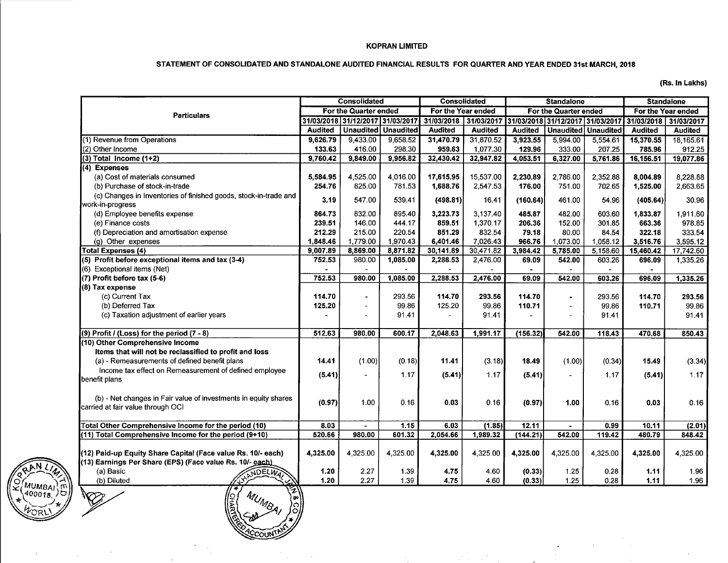#### KOPRAN LIMITED

#### STATEMENT OF CONSOLIDATED AND STANDALONE AUDITED FINANCIAL RESULTS FOR QUARTER AND YEAR ENDED 31st MARCH, 2018

(Rs. In Lakhs)

|                                                                  | Consolidated<br><b>Consolidated</b> |                                  |                       |                       | <b>Standalone</b>     | <b>Standalone</b> |          |                                  |                       |                |
|------------------------------------------------------------------|-------------------------------------|----------------------------------|-----------------------|-----------------------|-----------------------|-------------------|----------|----------------------------------|-----------------------|----------------|
| <b>Particulars</b>                                               | For the Quarter ended               |                                  | For the Year ended    |                       | For the Quarter ended |                   |          | For the Year ended               |                       |                |
|                                                                  |                                     | 31/03/2018 31/12/2017 31/03/2017 |                       | 31/03/2018 31/03/2017 |                       |                   |          | 31/03/2018 31/12/2017 31/03/2017 | 31/03/2018 31/03/2017 |                |
|                                                                  | <b>Audited</b>                      |                                  | Unaudited   Unaudited | <b>Audited</b>        | <b>Audited</b>        | Audited           |          | <b>Unaudited Unaudited</b>       | <b>Audited</b>        | <b>Audited</b> |
| (1) Revenue from Operations                                      | 9,626.79                            | 9,433.00                         | 9,658.52              | 31,470.79             | 31,870.52             | 3,923.55          | 5,994.00 | 5,554.61                         | 15,370.55             | 18.165.61      |
| (2) Other Income                                                 | 133.63                              | 416.00                           | 298.30                | 959.63                | 1.077.30              | 129.96            | 333.00   | 207.25                           | 785.96                | 912.25         |
| $(3)$ Total Income $(1+2)$                                       | 9,760.42                            | 9,849.00                         | 9,956.82              | 32,430.42             | 32,947.82             | 4,053.51          | 6,327.00 | 5,761.86                         | 16,156.51             | 19,077.86      |
| (4) Expenses                                                     |                                     |                                  |                       |                       |                       |                   |          |                                  |                       |                |
| (a) Cost of materials consumed                                   | 5,584.95                            | 4,525.00                         | 4,016.00              | 17,615.95             | 15,537.00             | 2,230.89          | 2,786.00 | 2.352.88                         | 8,004.89              | 8,228.88       |
| (b) Purchase of stock-in-trade                                   | 254.76                              | 825.00                           | 781.53                | 1,688.76              | 2,547.53              | 176.00            | 751.00   | 702.65                           | 1,525.00              | 2,663.65       |
| (c) Changes in Inventories of finished goods, stock-in-trade and | 3.19                                | 547.00                           | 539.41                | (498.81)              | 16.41                 | (160.64)          | 461.00   | 54.96                            | (405.64)              | 30.96          |
| work-in-progress                                                 |                                     |                                  |                       |                       |                       |                   |          |                                  |                       |                |
| (d) Employee benefits expense                                    | 864.73                              | 832.00                           | 895.40                | 3,223.73              | 3,137.40              | 485.87            | 482.00   | 603.60                           | 1,833.87              | 1,911.60       |
| (e) Finance costs                                                | 239.51                              | 146.00                           | 444.17                | 859.51                | 1.370.17              | 206.36            | 152.00   | 301.85                           | 663.36                | 978.85         |
| (f) Depreciation and amortisation expense                        | 212.29                              | 215.00                           | 220.54                | 851.29                | 832.54                | 79.18             | 80.00    | 84.54                            | 322.18                | 333.54         |
| (g) Other expenses                                               | 1,848.46                            | 1,779.00                         | 1,970.43              | 6,401.46              | 7,026.43              | 966.76            | 1,073.00 | 1,058.12                         | 3,516.76              | 3,595.12       |
| <b>Total Expenses (4)</b>                                        | 9,007.89                            | 8,869.00                         | 8,871.82              | 30,141.89             | 30,471.82             | 3,984.42          | 5,785.00 | 5,158.60                         | 15,460.42             | 17,742.60      |
| (5) Profit before exceptional items and tax (3-4)                | 752.53                              | 980.00                           | 1,085.00              | 2,288.53              | 2,476.00              | 69.09             | 542.00   | 603.26                           | 696.09                | 1,335.26       |
| (6) Exceptional items (Net)                                      |                                     |                                  |                       |                       |                       |                   |          |                                  |                       |                |
| (7) Profit before tax (5-6)                                      | 752.53                              | 980.00                           | 1,085.00              | 2,288.53              | 2,476.00              | 69.09             | 542.00   | 603.26                           | 696.09                | 1,335.26       |
| (8) Tax expense                                                  |                                     |                                  |                       |                       |                       |                   |          |                                  |                       |                |
| (c) Current Tax                                                  | 114.70                              | $\blacksquare$                   | 293.56                | 114.70                | 293.56                | 114.70            |          | 293.56                           | 114.70                | 293.56         |
| (b) Deferred Tax                                                 | 125.20                              | $\blacksquare$                   | 99.86                 | 125.20                | 99.86                 | 110.71            | $\sim$   | 99.86                            | 110.71                | 99.86          |
| (c) Taxation adjustment of earlier years                         |                                     | $\blacksquare$                   | 91.41                 |                       | 91.41                 |                   |          | 91.41                            |                       | 91.41          |
|                                                                  |                                     |                                  |                       |                       |                       |                   |          |                                  |                       |                |
| $(9)$ Profit / (Loss) for the period $(7 - 8)$                   | 512.63                              | 980.00                           | 600.17                | 2,048.63              | 1,991.17              | (156.32)          | 542.00   | 118.43                           | 470.68                | 850.43         |
| (10) Other Comprehensive Income                                  |                                     |                                  |                       |                       |                       |                   |          |                                  |                       |                |
| Items that will not be reclassified to profit and loss           |                                     |                                  |                       |                       |                       |                   |          |                                  |                       |                |
| (a) - Remeasurements of defined benefit plans                    | 14.41                               | (1.00)                           | (0.18)                | 11.41                 | (3.18)                | 18.49             | (1.00)   | (0.34)                           | 15.49                 | (3.34)         |
| Income tax effect on Remeasurement of defined employee           | (5.41)                              | $\overline{a}$                   | 1.17                  | (5.41)                | 1.17                  | (5.41)            |          | 1.17                             | (5.41)                | 1.17           |
| benefit plans                                                    |                                     |                                  |                       |                       |                       |                   |          |                                  |                       |                |
|                                                                  |                                     |                                  |                       |                       |                       |                   |          |                                  |                       |                |
| (b) - Net changes in Fair value of investments in equity shares  | (0.97)                              | 1.00                             | 0.16                  | 0.03                  | 0.16                  | (0.97)            | 1.00     | 0.16                             | 0.03                  | 0.16           |
| carried at fair value through OCI                                |                                     |                                  |                       |                       |                       |                   |          |                                  |                       |                |
| Total Other Comprehensive Income for the period (10)             | 8.03                                |                                  | 1.15                  | 6.03                  | (1.85)                | 12.11             |          | 0.99                             | 10.11                 | (2.01)         |
| (11) Total Comprehensive Income for the period (9+10)            | 520.66                              | 980.00                           | 601.32                | 2,054.66              | 1,989.32              | (144.21)          | 542.00   | 119.42                           | 480.79                | 848 42         |
|                                                                  |                                     |                                  |                       |                       |                       |                   |          |                                  |                       |                |
| (12) Paid-up Equity Share Capital (Face value Rs. 10/- each)     | 4,325.00                            | 4,325.00                         | 4,325.00              | 4,325.00              | 4,325.00              | 4,325.00          | 4,325.00 | 4,325.00                         | 4,325.00              | 4,325.00       |
| (13) Earnings Per Share (EPS) (Face value Rs. 10/- each)         |                                     |                                  |                       |                       |                       |                   |          |                                  |                       |                |
| (a) Basic<br>NDELWA,                                             | 1.20                                | 2.27                             | 1.39                  | 4.75                  | 4.60                  | (0.33)            | 1.25     | 0.28                             | 1.11                  | 1.96           |
| (b) Diluted                                                      | 1.20                                | 2.27                             | 1.39                  | 4.75                  | 460                   | (0.33)            | 1.25     | 0.28                             | 1.11                  | 1.96           |
|                                                                  |                                     |                                  |                       |                       |                       |                   |          |                                  |                       |                |
|                                                                  |                                     |                                  |                       |                       |                       |                   |          |                                  |                       |                |
| '္ပါ                                                             |                                     |                                  |                       |                       |                       |                   |          |                                  |                       |                |
|                                                                  |                                     |                                  |                       |                       |                       |                   |          |                                  |                       |                |

'MBA)

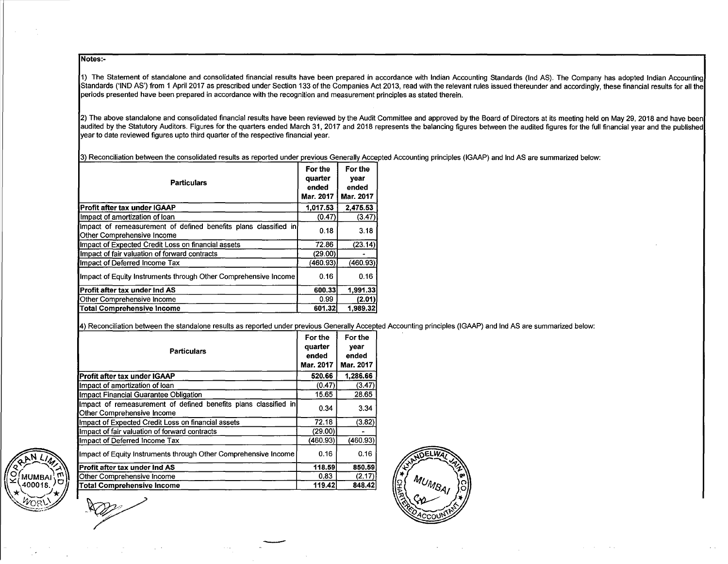Notes:-

1) The Statement of standalone and consolidated financial results have been prepared in accordance with Indian Accounting Standards (Ind AS). The Company has adopted Indian Accounting Standards ('IND AS') from 1 April 2017 as prescribed under Section 133 of the Companies Act 2013, read with the relevant rules issued thereunder and accordingly, these financial results for all the periods presented have been prepared in accordance with the recognition and measurement principles as stated therein.

2) The above standalone and consolidated financial results have been reviewed by the Audit Committee and approved by the Board of Directors at its meeting held on May 29, 2018 and have been audited by the Statutory Auditors. Figures for the quarters ended March 31, 2017 and 2018 represents the balancing figures between the audited figures for the full financial year and the published year to date reviewed figures upto third quarter of the respective financial year.

3) Reconciliation between the consolidated results as reported under previous Generally Accepted Accounting principles (IGAAP) and Ind AS are summarized below:

| <b>Particulars</b>                                                                            | For the<br>quarter<br>ended<br>Mar. 2017 | For the<br>year<br>ended<br><b>Mar. 2017</b> |
|-----------------------------------------------------------------------------------------------|------------------------------------------|----------------------------------------------|
| Profit after tax under IGAAP                                                                  | 1.017.53                                 | 2.475.53                                     |
| Impact of amortization of loan                                                                | (0.47)                                   | (3.47)                                       |
| Impact of remeasurement of defined benefits plans classified in<br>Other Comprehensive Income | 0.18                                     | 3.18                                         |
| Impact of Expected Credit Loss on financial assets                                            | 72.86                                    | (23.14)                                      |
| Impact of fair valuation of forward contracts                                                 | (29.00)                                  |                                              |
| Impact of Deferred Income Tax                                                                 | (460.93)                                 | (460.93)                                     |
| Impact of Equity Instruments through Other Comprehensive Income                               | 0.16                                     | 0.16                                         |
| <b>IProfit after tax under Ind AS</b>                                                         | 600.33                                   | 1.991.33                                     |
| Other Comprehensive Income                                                                    | 0.99                                     | (2.01)                                       |
| <b>Total Comprehensive Income</b>                                                             | 601.32                                   | 1,989.32                                     |

4) Reconciliation between the standalone results as reported under previous Generally Accepted Accounting principles (IGAAP) and Ind AS are summarized below:

| <b>Particulars</b><br>Mar. 2017                                                               |          | For the<br>year<br>ended<br>Mar. 2017 |                     |
|-----------------------------------------------------------------------------------------------|----------|---------------------------------------|---------------------|
| Profit after tax under IGAAP                                                                  | 520.66   | 1.286.66                              |                     |
| Ilmpact of amortization of loan                                                               | (0.47)   | (3.47)                                |                     |
| Ilmpact Financial Guarantee Obligation                                                        | 15.65    | 28.65                                 |                     |
| Impact of remeasurement of defined benefits plans classified in<br>Other Comprehensive Income | 0.34     | 3.34                                  |                     |
| Impact of Expected Credit Loss on financial assets                                            | 72.18    | (3.82)                                |                     |
| Impact of fair valuation of forward contracts                                                 | (29.00)  |                                       |                     |
| Impact of Deferred Income Tax                                                                 | (460.93) | (460.93)                              |                     |
| Impact of Equity Instruments through Other Comprehensive Income                               | 0.16     | 0.16                                  | ANDELWAY            |
| <b>IProfit after tax under Ind AS</b>                                                         | 118.59   | 850.59                                |                     |
| Other Comprehensive Income                                                                    | 0.83     | (2.17)                                | ا مو                |
| Total Comprehensive Income                                                                    | 119.42   | 848.42                                | MUMBAI<br>웉<br>'မိ, |

-



 $\sim 10^{-10}$  ,  $\sim 10^{-10}$ 

 $\sim 100$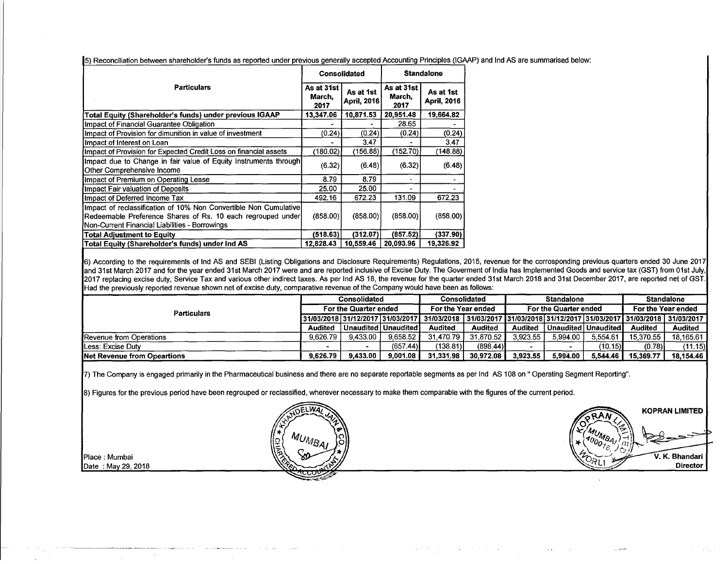|                                                                                                                                                                                   |                              | Consolidated             | <b>Standalone</b>            |                                 |  |
|-----------------------------------------------------------------------------------------------------------------------------------------------------------------------------------|------------------------------|--------------------------|------------------------------|---------------------------------|--|
| <b>Particulars</b>                                                                                                                                                                | As at 31st<br>March,<br>2017 | As at 1st<br>April, 2016 | As at 31st<br>March,<br>2017 | As at 1st<br><b>April, 2016</b> |  |
| Total Equity (Shareholder's funds) under previous IGAAP                                                                                                                           | 13,347.06                    | 10,871.53                | 20,951.48                    | 19,664.82                       |  |
| Impact of Financial Guarantee Obligation                                                                                                                                          |                              |                          | 28.65                        |                                 |  |
| Impact of Provision for dimunition in value of investment                                                                                                                         | (0.24)                       | (0.24)                   | (0.24)                       | (0.24)                          |  |
| Impact of Interest on Loan                                                                                                                                                        |                              | 3.47                     |                              | 3.47                            |  |
| Impact of Provision for Expected Credit Loss on financial assets                                                                                                                  | (180.02)                     | (156.88)                 | (152.70)                     | (148.88)                        |  |
| Impact due to Change in fair value of Equity Instruments through<br>Other Comprehensive Income                                                                                    | (6.32)                       | (6.48)                   | (6.32)                       | (6.48)                          |  |
| Impact of Premium on Operating Lease                                                                                                                                              | 8.79                         | 8.79                     |                              |                                 |  |
| Impact Fair valuation of Deposits                                                                                                                                                 | 25.00                        | 25.00                    |                              |                                 |  |
| Impact of Deferred Income Tax                                                                                                                                                     | 492.16                       | 672.23                   | 131.09                       | 672.23                          |  |
| Impact of reclassification of 10% Non Convertible Non Cumulative<br>Redeemable Preference Shares of Rs. 10 each regrouped under<br>Non-Current Financial Liabilities - Borrowings | (858.00)                     | (858.00)                 | (858.00)                     | (858.00)                        |  |
| <b>Total Adjustment to Equity</b>                                                                                                                                                 | (518.63)                     | (312.07)                 | (857.52)                     | (337.90)                        |  |
| Total Equity (Shareholder's funds) under Ind AS                                                                                                                                   | 12,828.43                    | 10,559.46                | 20,093.96                    | 19,326.92                       |  |

5) Reconciliation between shareholder's funds as reported under previous generally accepted Accounting Principles (IGAAP) and Ind AS are summarised below:

6) According to the requiremenls of Ind AS and SEBI (Listing Obligations and Disclosure Requirements) Regulations, 2015, revenue for the corrosponding previous quarters ended 30 June 2017 and 31st March 2017 and for the year ended 31st March 2017 were and are reported inclusive of Excise Duty. The Goverment of India has Implemented Goods and service tax (GST) from 01st July, 2017 replacing excise duty, Service Tax and various other indirect taxes. As per Ind AS 18, the revenue for the quarter ended 31st March 2018 and 31st December 2017, are reported net of GST. Had the previously reported revenue shown net of excise duty, comparative revenue of the Company would have been as follows:

|                                     | Consolidated |                                  | Consolidated          |              | <b>Standalone</b>  |                |                       | <b>Standalone</b>     |                                                                           |                    |  |
|-------------------------------------|--------------|----------------------------------|-----------------------|--------------|--------------------|----------------|-----------------------|-----------------------|---------------------------------------------------------------------------|--------------------|--|
| <b>Particulars</b>                  |              | For the Quarter ended            |                       |              | For the Year ended |                | For the Quarter ended |                       |                                                                           | For the Year ended |  |
|                                     |              | 31/03/2018 31/12/2017 31/03/2017 |                       | 31/03/2018 l |                    |                |                       |                       | <u>  31/03/2017   31/03/2018   31/12/2017   31/03/2017   31/03/2018  </u> | 31/03/2017         |  |
|                                     | Audited      |                                  | Unaudited   Unaudited | Audited      | <b>Audited</b>     | <b>Audited</b> |                       | Unaudited   Unaudited | Audited                                                                   | <b>Audited</b>     |  |
| Revenue from Operations             | 9.626.79     | 9.433.00                         | 9.658.52              | 31.470.79    | 31.870.52          | 3.923.55       | 5.994.00              | 5.554.61              | 15,370.55                                                                 | 18.165.61          |  |
| <b>ILess: Excise Duty</b>           |              |                                  | (657.44)              | (138.81)     | (898.44)           |                |                       | (10.15)               | (0.78)                                                                    | (11.15)            |  |
| <b>INet Revenue from Opeartions</b> | 9.626.79     | 9.433.00                         | 9.001.08              | 31,331.98    | 30.972.08          | 3.923.55       | 5.994.00              | 5.544.46              | 15,369.77                                                                 | 18.154.46          |  |

 $\mathbf{v}=(\mathbf{v}_1,\mathbf{v}_2,\ldots,\mathbf{v}_N)$  , we can be the signal of  $\mathbf{v}_1$ 

7) The Company is engaged primarily in the Pharmaceutical business and there are no separate reportable segments as per Ind AS 108 on" Operating Segment Reporting".

8) Figures for the previous period have been regrouped or reclassified, wherever necessary to make them comparable with the figures of the current period. esified, wherever necessary to make them comparable with the figures of the current period.<br>A DELWAL<br>A RAM



""" """<br>""" """

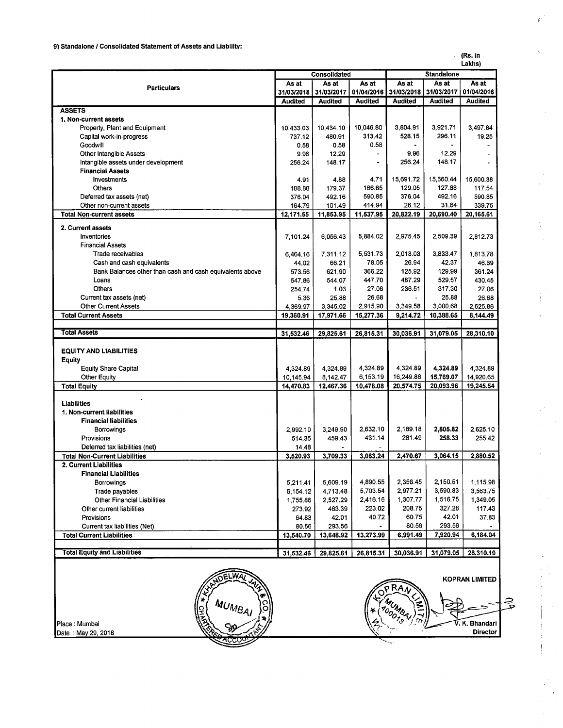#### (Rs. in Lakhs)

|                                                          |                | Consolidated   |                          | <b>Standalone</b> |                |                |  |  |
|----------------------------------------------------------|----------------|----------------|--------------------------|-------------------|----------------|----------------|--|--|
|                                                          | As at          | As at          | As at                    | As at             | As at          | As at          |  |  |
| <b>Particulars</b>                                       |                | 31/03/2017     | 01/04/2016               | 31/03/2018        | 31/03/2017     | 01/04/2016     |  |  |
|                                                          | <b>Audited</b> | <b>Audited</b> | <b>Audited</b>           | <b>Audited</b>    | <b>Audited</b> | <b>Audited</b> |  |  |
| <b>ASSETS</b>                                            |                |                |                          |                   |                |                |  |  |
| 1. Non-current assets                                    |                |                |                          |                   |                |                |  |  |
| Property, Plant and Equipment                            | 10,433.03      | 10,434.10      | 10,046.80                | 3,804.91          | 3,921.71       | 3,497.84       |  |  |
| Capital work-in-progress                                 | 737.12         | 480.91         | 313.42                   | 528.15            | 296.11         | 19.25          |  |  |
| Goodwill                                                 | 0.58           | 0.58           | 0.58                     |                   |                |                |  |  |
| Other Intangible Assets                                  | 9.96           | 12.29          | $\overline{\phantom{a}}$ | 9.96              | 12.29          |                |  |  |
| Intangible assets under development                      | 256.24         | 148.17         | $\blacksquare$           | 256.24            | 148.17         |                |  |  |
| <b>Financial Assets</b>                                  |                |                |                          |                   |                |                |  |  |
| Investments                                              | 4.91           | 4.88           | 4.71                     | 15,691.72         | 15,660.44      | 15,600.38      |  |  |
| <b>Others</b>                                            | 188.88         | 179.37         | 166.65                   | 129.05            | 127.88         | 117.54         |  |  |
| Deferred tax assets (net)                                | 376.04         | 492.16         | 590.85                   | 376.04            | 492.16         | 590.85         |  |  |
| Other non-current assets                                 | 164.79         | 101.49         | 414.94                   | 26.12             | 31.64          | 339.75         |  |  |
| <b>Total Non-current assets</b>                          | 12,171.55      | 11,853.95      | 11,537.95                | 20,822.19         | 20,690.40      | 20,165.61      |  |  |
| 2. Current assets                                        |                |                |                          |                   |                |                |  |  |
| Inventories                                              | 7,101.24       | 6,056.43       | 5,884.02                 | 2,975.45          | 2,509.39       | 2,812.73       |  |  |
| <b>Financial Assets</b>                                  |                |                |                          |                   |                |                |  |  |
| Trade receivables                                        | 6,464.16       | 7,311.12       | 5,531.73                 | 2,013.03          | 3.833.47       | 1,813.78       |  |  |
| Cash and cash equivalents                                | 44.02          | 66.21          | 78.05                    | 26.94             | 42.37          | 46.69          |  |  |
| Bank Balances other than cash and cash equivalents above | 573.56         | 621.90         | 366.22                   | 125.92            | 129.99         | 361.24         |  |  |
| Loans                                                    | 547.86         | 544.07         | 447.70                   | 487.29            | 529.57         | 430.45         |  |  |
| <b>Others</b>                                            | 254.74         | 1.03           | 27.06                    | 236.51            | 317.30         | 27.06          |  |  |
| Current tax assets (net)                                 | 5.36           | 25.88          | 26.68                    |                   | 25.88          | 26.68          |  |  |
| <b>Other Current Assets</b>                              | 4.369.97       | 3,345.02       | 2,915.90                 | 3,349.58          | 3,000.68       | 2,625.86       |  |  |
| <b>Total Current Assets</b>                              | 19,360.91      | 17,971.66      | 15,277.36                | 9,214.72          | 10,388.65      | 8,144.49       |  |  |
|                                                          |                |                |                          |                   |                |                |  |  |
| <b>Total Assets</b>                                      | 31,532.46      | 29,825.61      | 26,815.31                | 30,036.91         | 31,079.05      | 28,310.10      |  |  |
|                                                          |                |                |                          |                   |                |                |  |  |
| <b>EQUITY AND LIABILITIES</b>                            |                |                |                          |                   |                |                |  |  |
| <b>Equity</b>                                            |                |                |                          |                   |                |                |  |  |
| <b>Equity Share Capital</b>                              | 4,324.89       | 4,324.89       | 4,324.89                 | 4,324.89          | 4,324.89       | 4 3 24 89      |  |  |
| <b>Other Equity</b>                                      | 10,145.94      | 8,142.47       | 6,153.19                 | 16,249.86         | 15,769.07      | 14,920.65      |  |  |
| <b>Total Equity</b>                                      | 14,470.83      | 12,467.36      | 10,478.08                | 20,574.75         | 20,093.96      | 19,245.54      |  |  |
|                                                          |                |                |                          |                   |                |                |  |  |
| <b>Liabilities</b>                                       |                |                |                          |                   |                |                |  |  |
| 1. Non-current liabilities                               |                |                |                          |                   |                |                |  |  |
| <b>Financial liabilities</b>                             |                |                |                          |                   |                |                |  |  |
| Borrowings                                               | 2.992.10       | 3,249.90       | 2,632.10                 | 2,189.18          | 2,805.82       | 2,625.10       |  |  |
| Provisions                                               | 514.35         | 459.43         | 431.14                   | 281.49            | 258.33         | 255.42         |  |  |
| Deferred tax liabilities (net)                           | 14.48          |                |                          |                   |                |                |  |  |
| <b>Total Non-Current Liabilities</b>                     | 3,520.93       | 3,709.33       | 3,063.24                 | 2,470.67          | 3,064.15       | 2,880.52       |  |  |
| 2. Current Liabilities                                   |                |                |                          |                   |                |                |  |  |
| <b>Financial Liabilities</b>                             |                |                |                          |                   |                |                |  |  |
| Borrowings                                               | 5,211.41       | 5,609.19       | 4,890.55                 | 2,356.45          | 2,150.51       | 1,115.98       |  |  |
| Trade payables                                           | 6 154 12       | 4,713.48       | 5,703.54                 | 2,977.21          | 3,590.83       | 3,563.75       |  |  |
| <b>Other Financial Liabilities</b>                       | 1,755.86       | 2,527.29       | 2,416.16                 | 1,307.77          | 1516.75        | 1,349.05       |  |  |
| Other current liabilities                                | 273.92         | 463.39         | 223.02                   | 208.75            | 327.28         | 117.43         |  |  |
| Provisions                                               | 64.83          | 42.01          | 40.72                    | 60.75             | 42.01          | 37.83          |  |  |
| Current tax liabilities (Net)                            | 80.56          | 293.56         |                          | 80.56             | 293.56         |                |  |  |
| <b>Total Current Liabilities</b>                         | 13,540.70      | 13,648.92      | 13,273.99                | 6,991.49          | 7,920.94       | 6,184.04       |  |  |
|                                                          |                |                |                          |                   |                |                |  |  |
|                                                          |                |                |                          |                   |                |                |  |  |
| <b>Total Equity and Liabilities</b>                      | 31,532.46      | 29,825.61      | 26,815.31                | 30,036.91         | 31,079.05      | 28,310.10      |  |  |

Place : Mumbai Date : May 29, 2018





'• -·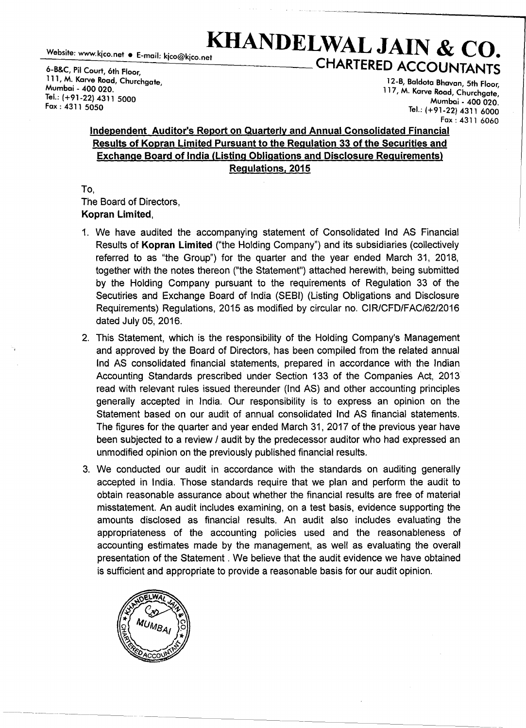# Website: www.kjco.net  $\bullet$  E-mail: kico@kico.net  $\bullet$  **KHANDELWAL JAIN & CO.** 6-B&C, Pil Court, 6th Floor,<br>
111, M. Karve Road. Churchante<br>
12-B, Baldota Bhayan, 5th Floor

111, M. Karve Road, Churchgate, 12-8, Baldota Bhavan, 5th Floor, Tel.:  $(+91-22)$  4311 5000 Mumbai\_ 400 020.<br>Fox : 4311 5050 Mumbai\_ 400 020.

117, M. Karve Road, Churchgate, Tel.: (+91-22) 4311 6000 Fax: 4311 6060

## Independent Auditor's Report on Quarterly and Annual Consolidated Financial Results of Kopran Limited Pursuant to the Regulation 33 of the Securities and Exchange Board of India (Listing Obligations and Disclosure Requirements) Regulations, 2015

To, The Board of Directors, Kopran Limited,

- 1. We have audited the accompanying statement of Consolidated Ind AS Financial Results of Kopran Limited ("the Holding Company") and its subsidiaries (collectively referred to as "the Group") for the quarter and the year ended March 31, 2018, together with the notes thereon ("the Statement") attached herewith, being submitted by the Holding Company pursuant to the requirements of Regulation 33 of the Secutiries and Exchange Board of India (SEBI) (Listing Obligations and Disclosure Requirements) Regulations, 2015 as modified by circular no. CIR/CFD/FAC/62/2016 dated July 05, 2016.
- 2. This Statement, which is the responsibility of the Holding Company's Management and approved by the Board of Directors, has been compiled from the related annual Ind AS consolidated financial statements, prepared in accordance with the Indian Accounting Standards prescribed under Section 133 of the Companies Act, 2013 read with relevant rules issued thereunder (Ind AS) and other accounting principles generally accepted in India. Our responsibility is to express an opinion on the Statement based on our audit of annual consolidated Ind AS financial statements. The figures for the quarter and year ended March 31, 2017 of the previous year have been subjected to a review / audit by the predecessor auditor who had expressed an unmodified opinion on the previously published financial results.
- 3. We conducted our audit in accordance with the standards on auditing generally accepted in India. Those standards require that we plan and perform the audit to obtain reasonable assurance about whether the financial results are free of material misstatement. An audit includes examining, on a test basis, evidence supporting the amounts disclosed as financial results. An audit also includes evaluating the appropriateness of the accounting policies used and the reasonableness of accounting estimates made by the management, as well as evaluating the overall presentation of the Statement . We believe that the audit evidence we have obtained is sufficient and appropriate to provide a reasonable basis for our audit opinion.

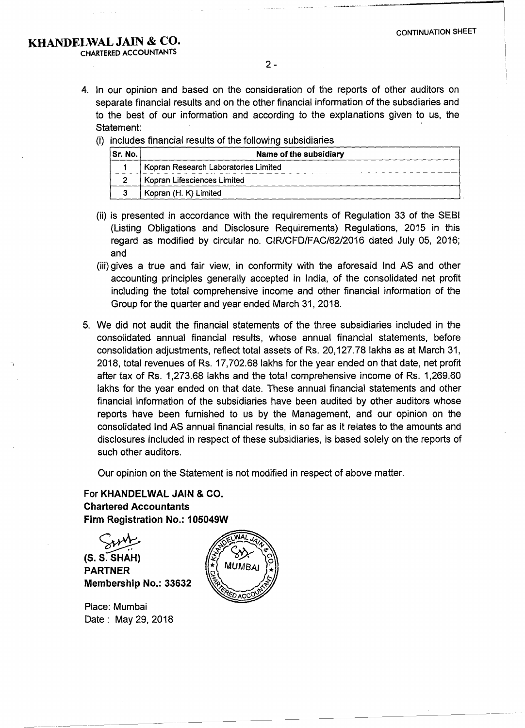- 4. In our opinion and based on the consideration of the reports of other auditors on separate financial results and on the other financial information of the subsdiaries and to the best of our information and according to the explanations given to us, the Statement:
	- (i) includes financial results of the following subsidiaries

| Sr. No. | Name of the subsidiary               |
|---------|--------------------------------------|
|         | Kopran Research Laboratories Limited |
|         | Kopran Lifesciences Limited          |
|         | Kopran (H. K) Limited                |

- (ii) is presented in accordance with the requirements of Regulation 33 of the SEBI (Listing Obligations and Disclosure Requirements) Regulations, 2015 in this regard as modified by circular no. CIR/CFD/FAC/62/2016 dated July 05, 2016; and
- (iii) gives a true and fair view, in conformity with the aforesaid Ind AS and other accounting principles generally accepted in India, of the consolidated net profit including the total comprehensive income and other financial information of the Group for the quarter and year ended March 31, 2018.
- 5. We did not audit the financial statements of the three subsidiaries included in the consolidated annual financial results, whose annual financial statements, before consolidation adjustments, reflect total assets of Rs. 20, 127.78 lakhs as at March 31, 2018, total revenues of Rs. 17,702.68 lakhs for the year ended on that date, net profit after tax of Rs. 1,273.68 lakhs and the total comprehensive income of Rs. 1,269.60 lakhs for the year ended on that date. These annual financial statements and other financial information of the subsidiaries have been audited by other auditors whose reports have been furnished to us by the Management, and our opinion on the consolidated Ind AS annual financial results, in so far as it relates to the amounts and disclosures included in respect of these subsidiaries, is based solely on the reports of such other auditors.

Our opinion on the Statement is not modified in respect of above matter.

For KHANDELWAL JAIN & CO. Chartered Accountants Firm Registration No.: 105049W

 $SVM$ <br> $(S. S. SHAH)$ PARTNER Membership No.: 33632

Place: Mumbai Date: May 29, 2018

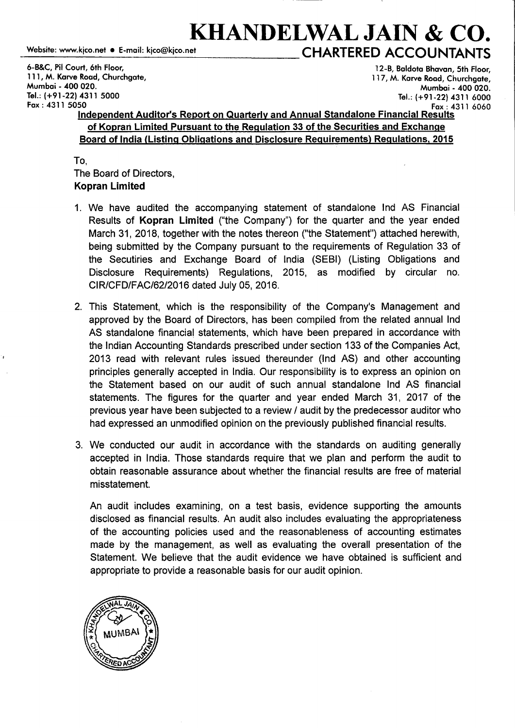## **KHANDELWAL JAIN & CO.**<br>
Website: www.kjco.net • E-mail: kjco@kjco.net<br>
CHARTERED ACCOLINITANITS \_w\_eb\_si\_te\_: www \_\_ .k\_ic\_o.\_ne\_t\_•\_E\_-\_m\_ai\_I: \_kic\_o\_@\_ki\_co\_.n\_e\_t **\_\_\_\_\_\_\_\_ CHARTERED ACCOUNTANTS**

6-B&C, Pil Court, 6th Floor, 12-B, Baldota Bhavan, 5th Floor, 111, M. Karve Road, Churchgate, 117, M. Karve Road, Churchgate, Mumbai - 400 020. Mumbai - 400 020. Tel.: (+91-22) 4311 5000 Tel.: (+91-22) 4311 6000

#### Fax: 4311 5050 Fax: 4311 6060 Independent Auditor's Report on Quarterly and Annual Standalone Financial Results of Kopran Limited Pursuant to the Regulation 33 of the Securities and Exchange Board of India (Listing Obligations and Disclosure Requirements) Regulations, 2015

To, The Board of Directors, Kopran Limited

- 1. We have audited the accompanying statement of standalone Ind AS Financial Results of Kopran Limited ("the Company") for the quarter and the year ended March 31, 2018, together with the notes thereon ("the Statement") attached herewith, being submitted by the Company pursuant to the requirements of Regulation 33 of the Secutiries and Exchange Board of India (SEBI) (Listing Obligations and Disclosure Requirements) Regulations, 2015, as modified by circular no. CIR/CFD/FAC/62/2016 dated July 05, 2016.
- 2. This Statement, which is the responsibility of the Company's Management and approved by the Board of Directors, has been compiled from the related annual Ind AS standalone financial statements, which have been prepared in accordance with the Indian Accounting Standards prescribed under section 133 of the Companies Act, 2013 read with relevant rules issued thereunder (Ind AS) and other accounting principles generally accepted in India. Our responsibility is to express an opinion on the Statement based on our audit of such annual standalone Ind AS financial statements. The figures for the quarter and year ended March 31, 2017 of the previous year have been subjected to a review I audit by the predecessor auditor who had expressed an unmodified opinion on the previously published financial results.
- 3. We conducted our audit in accordance with the standards on auditing generally accepted in India. Those standards require that we plan and perform the audit to obtain reasonable assurance about whether the financial results are free of material misstatement.

An audit includes examining, on a test basis, evidence supporting the amounts disclosed as financial results. An audit also includes evaluating the appropriateness of the accounting policies used and the reasonableness of accounting estimates made by the management, as well as evaluating the overall presentation of the Statement. We believe that the audit evidence we have obtained is sufficient and appropriate to provide a reasonable basis for our audit opinion.